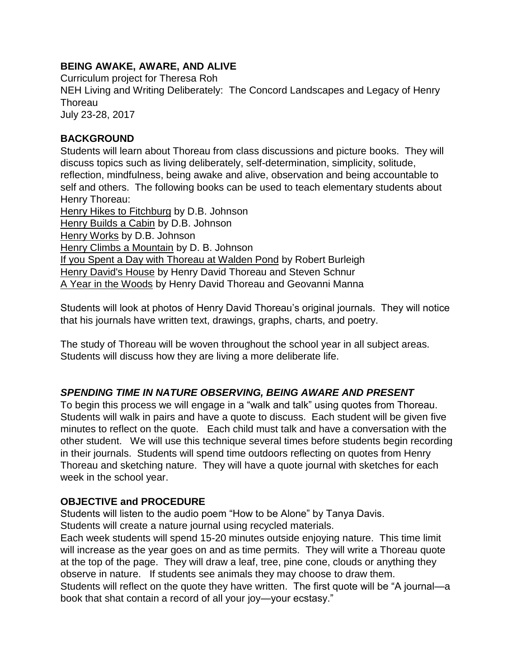### **BEING AWAKE, AWARE, AND ALIVE**

Curriculum project for Theresa Roh

NEH Living and Writing Deliberately: The Concord Landscapes and Legacy of Henry **Thoreau** 

July 23-28, 2017

### **BACKGROUND**

Students will learn about Thoreau from class discussions and picture books. They will discuss topics such as living deliberately, self-determination, simplicity, solitude, reflection, mindfulness, being awake and alive, observation and being accountable to self and others. The following books can be used to teach elementary students about Henry Thoreau: Henry Hikes to Fitchburg by D.B. Johnson

Henry Builds a Cabin by D.B. Johnson Henry Works by D.B. Johnson Henry Climbs a Mountain by D. B. Johnson If you Spent a Day with Thoreau at Walden Pond by Robert Burleigh Henry David's House by Henry David Thoreau and Steven Schnur A Year in the Woods by Henry David Thoreau and Geovanni Manna

Students will look at photos of Henry David Thoreau's original journals. They will notice that his journals have written text, drawings, graphs, charts, and poetry.

The study of Thoreau will be woven throughout the school year in all subject areas. Students will discuss how they are living a more deliberate life.

## *SPENDING TIME IN NATURE OBSERVING, BEING AWARE AND PRESENT*

To begin this process we will engage in a "walk and talk" using quotes from Thoreau. Students will walk in pairs and have a quote to discuss. Each student will be given five minutes to reflect on the quote. Each child must talk and have a conversation with the other student. We will use this technique several times before students begin recording in their journals. Students will spend time outdoors reflecting on quotes from Henry Thoreau and sketching nature. They will have a quote journal with sketches for each week in the school year.

### **OBJECTIVE and PROCEDURE**

Students will listen to the audio poem "How to be Alone" by Tanya Davis. Students will create a nature journal using recycled materials.

Each week students will spend 15-20 minutes outside enjoying nature. This time limit will increase as the year goes on and as time permits. They will write a Thoreau quote at the top of the page. They will draw a leaf, tree, pine cone, clouds or anything they observe in nature. If students see animals they may choose to draw them. Students will reflect on the quote they have written. The first quote will be "A journal—a book that shat contain a record of all your joy—your ecstasy."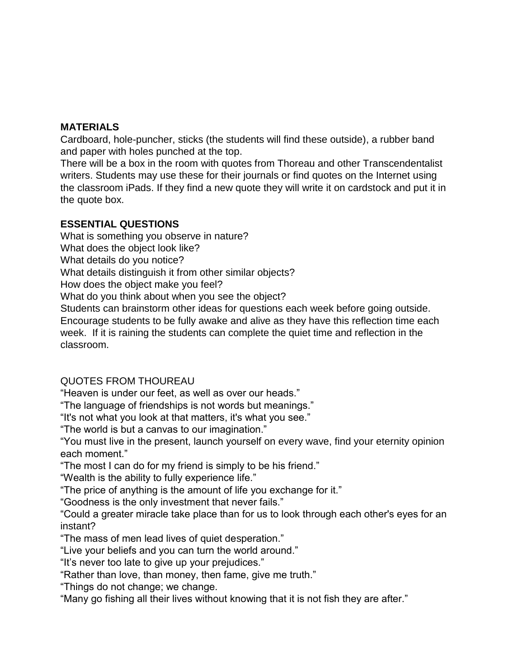#### **MATERIALS**

Cardboard, hole-puncher, sticks (the students will find these outside), a rubber band and paper with holes punched at the top.

There will be a box in the room with quotes from Thoreau and other Transcendentalist writers. Students may use these for their journals or find quotes on the Internet using the classroom iPads. If they find a new quote they will write it on cardstock and put it in the quote box.

### **ESSENTIAL QUESTIONS**

What is something you observe in nature? What does the object look like? What details do you notice? What details distinguish it from other similar objects? How does the object make you feel? What do you think about when you see the object? Students can brainstorm other ideas for questions each week before going outside.

Encourage students to be fully awake and alive as they have this reflection time each week. If it is raining the students can complete the quiet time and reflection in the classroom.

## QUOTES FROM THOUREAU

"Heaven is under our feet, as well as over our heads."

"The language of friendships is not words but meanings."

"It's not what you look at that matters, it's what you see."

"The world is but a canvas to our imagination."

"You must live in the present, launch yourself on every wave, find your eternity opinion each moment."

"The most I can do for my friend is simply to be his friend."

"Wealth is the ability to fully experience life."

"The price of anything is the amount of life you exchange for it."

"Goodness is the only investment that never fails."

"Could a greater miracle take place than for us to look through each other's eyes for an instant?

"The mass of men lead lives of quiet desperation."

"Live your beliefs and you can turn the world around."

"It's never too late to give up your prejudices."

"Rather than love, than money, then fame, give me truth."

"Things do not change; we change.

"Many go fishing all their lives without knowing that it is not fish they are after."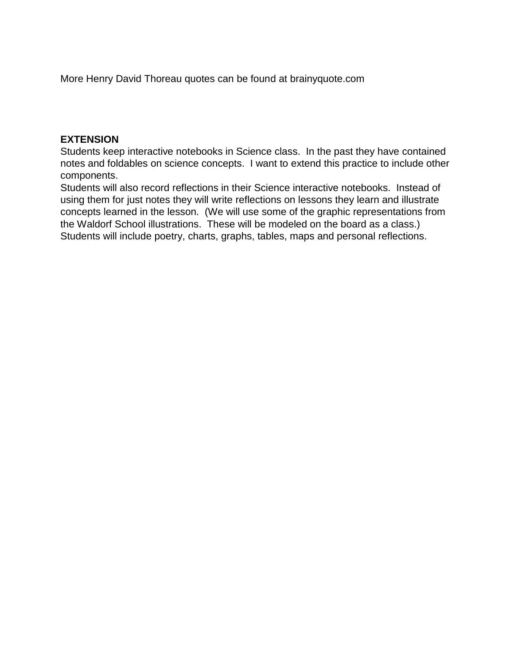More Henry David Thoreau quotes can be found at brainyquote.com

#### **EXTENSION**

Students keep interactive notebooks in Science class. In the past they have contained notes and foldables on science concepts. I want to extend this practice to include other components.

Students will also record reflections in their Science interactive notebooks. Instead of using them for just notes they will write reflections on lessons they learn and illustrate concepts learned in the lesson. (We will use some of the graphic representations from the Waldorf School illustrations. These will be modeled on the board as a class.) Students will include poetry, charts, graphs, tables, maps and personal reflections.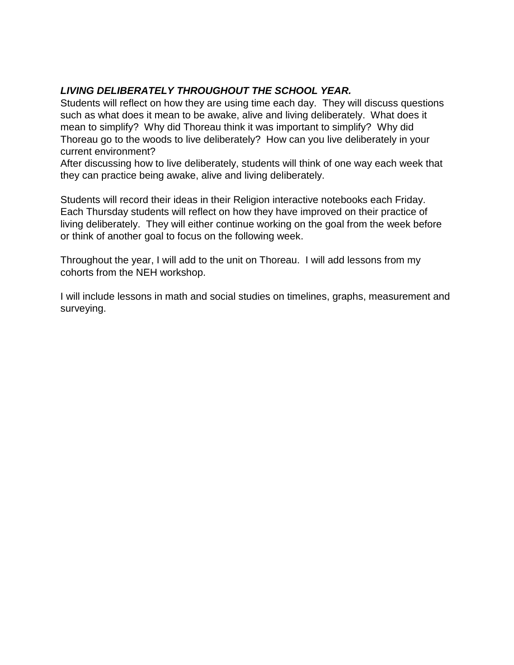### *LIVING DELIBERATELY THROUGHOUT THE SCHOOL YEAR.*

Students will reflect on how they are using time each day. They will discuss questions such as what does it mean to be awake, alive and living deliberately. What does it mean to simplify? Why did Thoreau think it was important to simplify? Why did Thoreau go to the woods to live deliberately? How can you live deliberately in your current environment?

After discussing how to live deliberately, students will think of one way each week that they can practice being awake, alive and living deliberately.

Students will record their ideas in their Religion interactive notebooks each Friday. Each Thursday students will reflect on how they have improved on their practice of living deliberately. They will either continue working on the goal from the week before or think of another goal to focus on the following week.

Throughout the year, I will add to the unit on Thoreau. I will add lessons from my cohorts from the NEH workshop.

I will include lessons in math and social studies on timelines, graphs, measurement and surveying.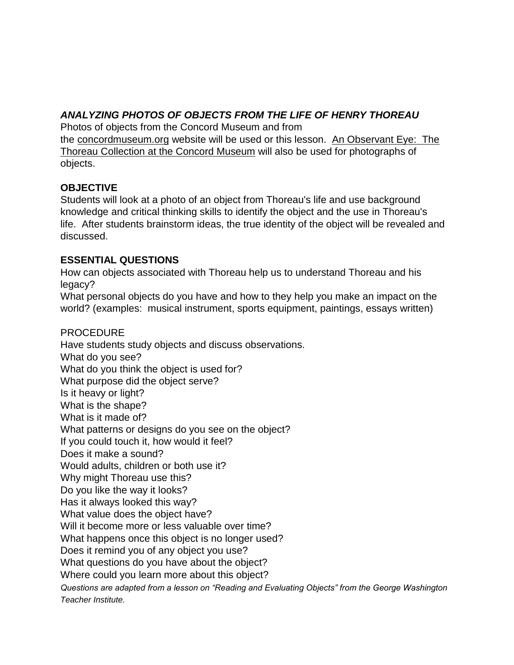## *ANALYZING PHOTOS OF OBJECTS FROM THE LIFE OF HENRY THOREAU*

Photos of objects from the Concord Museum and from the [concordmuseum.org](http://concordmuseum.org/) website will be used or this lesson. An Observant Eye: The Thoreau Collection at the Concord Museum will also be used for photographs of objects.

### **OBJECTIVE**

Students will look at a photo of an object from Thoreau's life and use background knowledge and critical thinking skills to identify the object and the use in Thoreau's life. After students brainstorm ideas, the true identity of the object will be revealed and discussed.

### **ESSENTIAL QUESTIONS**

How can objects associated with Thoreau help us to understand Thoreau and his legacy?

What personal objects do you have and how to they help you make an impact on the world? (examples: musical instrument, sports equipment, paintings, essays written)

### PROCEDURE

Have students study objects and discuss observations. What do you see? What do you think the object is used for? What purpose did the object serve? Is it heavy or light? What is the shape? What is it made of? What patterns or designs do you see on the object? If you could touch it, how would it feel? Does it make a sound? Would adults, children or both use it? Why might Thoreau use this? Do you like the way it looks? Has it always looked this way? What value does the object have? Will it become more or less valuable over time? What happens once this object is no longer used? Does it remind you of any object you use? What questions do you have about the object? Where could you learn more about this object? *Questions are adapted from a lesson on "Reading and Evaluating Objects" from the George Washington* 

*Teacher Institute.*